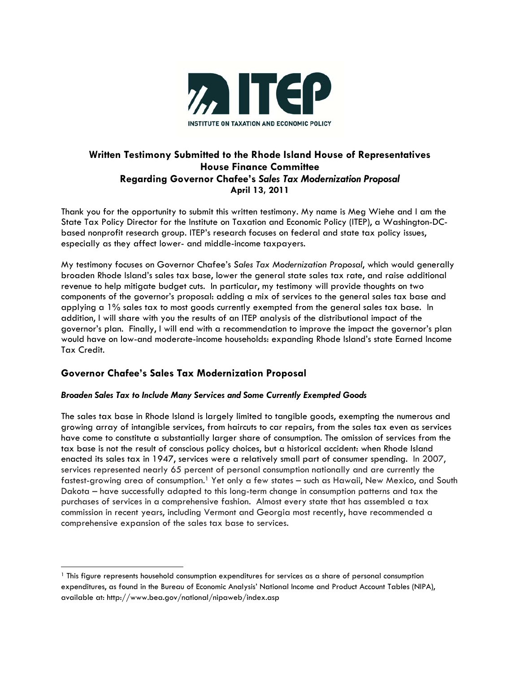

# **Written Testimony Submitted to the Rhode Island House of Representatives House Finance Committee Regarding Governor Chafee's** *Sales Tax Modernization Proposal*  **April 13, 2011**

Thank you for the opportunity to submit this written testimony. My name is Meg Wiehe and I am the State Tax Policy Director for the Institute on Taxation and Economic Policy (ITEP), a Washington-DCbased nonprofit research group. ITEP's research focuses on federal and state tax policy issues, especially as they affect lower- and middle-income taxpayers.

My testimony focuses on Governor Chafee's *Sales Tax Modernization Proposal*, which would generally broaden Rhode Island's sales tax base, lower the general state sales tax rate, and raise additional revenue to help mitigate budget cuts. In particular, my testimony will provide thoughts on two components of the governor's proposal: adding a mix of services to the general sales tax base and applying a 1% sales tax to most goods currently exempted from the general sales tax base. In addition, I will share with you the results of an ITEP analysis of the distributional impact of the governor's plan. Finally, I will end with a recommendation to improve the impact the governor's plan would have on low-and moderate-income households: expanding Rhode Island's state Earned Income Tax Credit.

## **Governor Chafee's Sales Tax Modernization Proposal**

### *Broaden Sales Tax to Include Many Services and Some Currently Exempted Goods*

The sales tax base in Rhode Island is largely limited to tangible goods, exempting the numerous and growing array of intangible services, from haircuts to car repairs, from the sales tax even as services have come to constitute a substantially larger share of consumption. The omission of services from the tax base is not the result of conscious policy choices, but a historical accident: when Rhode Island enacted its sales tax in 1947, services were a relatively small part of consumer spending. In 2007, services represented nearly 65 percent of personal consumption nationally and are currently the fastest-growing area of consumption.<sup>1</sup> Yet only a few states – such as Hawaii, New Mexico, and South Dakota – have successfully adapted to this long-term change in consumption patterns and tax the purchases of services in a comprehensive fashion. Almost every state that has assembled a tax commission in recent years, including Vermont and Georgia most recently, have recommended a comprehensive expansion of the sales tax base to services.

<sup>1</sup> This figure represents household consumption expenditures for services as a share of personal consumption expenditures, as found in the Bureau of Economic Analysis' National Income and Product Account Tables (NIPA), available at: http://www.bea.gov/national/nipaweb/index.asp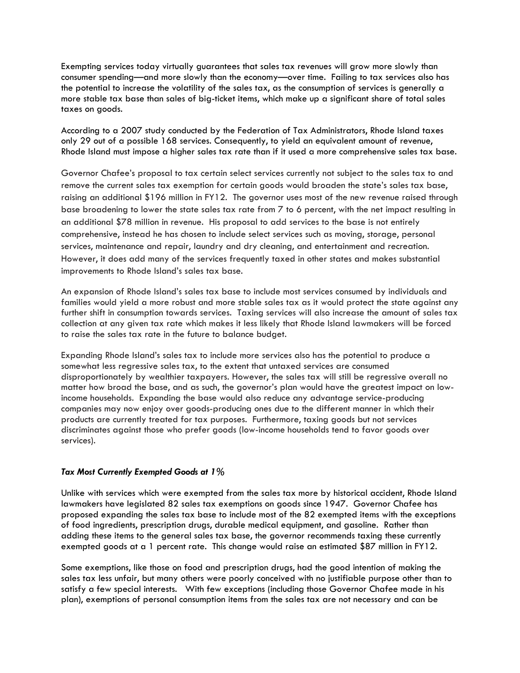Exempting services today virtually guarantees that sales tax revenues will grow more slowly than consumer spending—and more slowly than the economy—over time. Failing to tax services also has the potential to increase the volatility of the sales tax, as the consumption of services is generally a more stable tax base than sales of big-ticket items, which make up a significant share of total sales taxes on goods.

According to a 2007 study conducted by the Federation of Tax Administrators, Rhode Island taxes only 29 out of a possible 168 services. Consequently, to yield an equivalent amount of revenue, Rhode Island must impose a higher sales tax rate than if it used a more comprehensive sales tax base.

Governor Chafee's proposal to tax certain select services currently not subject to the sales tax to and remove the current sales tax exemption for certain goods would broaden the state's sales tax base, raising an additional \$196 million in FY12. The governor uses most of the new revenue raised through base broadening to lower the state sales tax rate from 7 to 6 percent, with the net impact resulting in an additional \$78 million in revenue. His proposal to add services to the base is not entirely comprehensive, instead he has chosen to include select services such as moving, storage, personal services, maintenance and repair, laundry and dry cleaning, and entertainment and recreation. However, it does add many of the services frequently taxed in other states and makes substantial improvements to Rhode Island's sales tax base.

An expansion of Rhode Island's sales tax base to include most services consumed by individuals and families would yield a more robust and more stable sales tax as it would protect the state against any further shift in consumption towards services. Taxing services will also increase the amount of sales tax collection at any given tax rate which makes it less likely that Rhode Island lawmakers will be forced to raise the sales tax rate in the future to balance budget.

Expanding Rhode Island's sales tax to include more services also has the potential to produce a somewhat less regressive sales tax, to the extent that untaxed services are consumed disproportionately by wealthier taxpayers. However, the sales tax will still be regressive overall no matter how broad the base, and as such, the governor's plan would have the greatest impact on lowincome households. Expanding the base would also reduce any advantage service-producing companies may now enjoy over goods-producing ones due to the different manner in which their products are currently treated for tax purposes. Furthermore, taxing goods but not services discriminates against those who prefer goods (low-income households tend to favor goods over services).

### *Tax Most Currently Exempted Goods at 1%*

Unlike with services which were exempted from the sales tax more by historical accident, Rhode Island lawmakers have legislated 82 sales tax exemptions on goods since 1947. Governor Chafee has proposed expanding the sales tax base to include most of the 82 exempted items with the exceptions of food ingredients, prescription drugs, durable medical equipment, and gasoline. Rather than adding these items to the general sales tax base, the governor recommends taxing these currently exempted goods at a 1 percent rate. This change would raise an estimated \$87 million in FY12.

Some exemptions, like those on food and prescription drugs, had the good intention of making the sales tax less unfair, but many others were poorly conceived with no justifiable purpose other than to satisfy a few special interests. With few exceptions (including those Governor Chafee made in his plan), exemptions of personal consumption items from the sales tax are not necessary and can be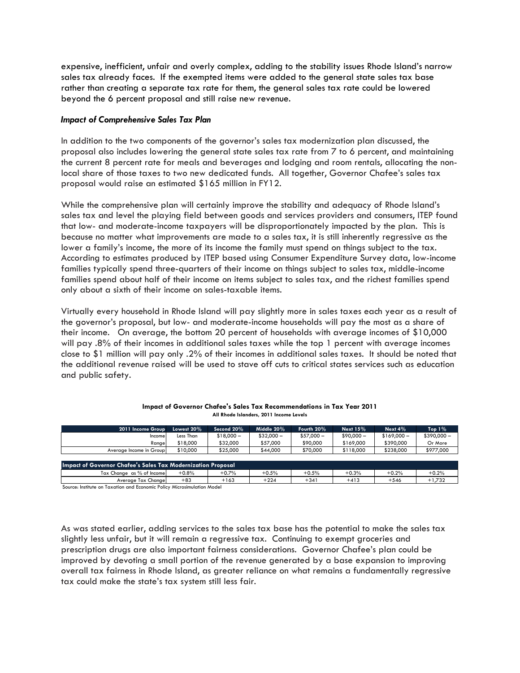expensive, inefficient, unfair and overly complex, adding to the stability issues Rhode Island's narrow sales tax already faces. If the exempted items were added to the general state sales tax base rather than creating a separate tax rate for them, the general sales tax rate could be lowered beyond the 6 percent proposal and still raise new revenue.

#### *Impact of Comprehensive Sales Tax Plan*

In addition to the two components of the governor's sales tax modernization plan discussed, the proposal also includes lowering the general state sales tax rate from 7 to 6 percent, and maintaining the current 8 percent rate for meals and beverages and lodging and room rentals, allocating the nonlocal share of those taxes to two new dedicated funds. All together, Governor Chafee's sales tax proposal would raise an estimated \$165 million in FY12.

While the comprehensive plan will certainly improve the stability and adequacy of Rhode Island's sales tax and level the playing field between goods and services providers and consumers, ITEP found that low- and moderate-income taxpayers will be disproportionately impacted by the plan. This is because no matter what improvements are made to a sales tax, it is still inherently regressive as the lower a family's income, the more of its income the family must spend on things subject to the tax. According to estimates produced by ITEP based using Consumer Expenditure Survey data, low-income families typically spend three-quarters of their income on things subject to sales tax, middle-income families spend about half of their income on items subject to sales tax, and the richest families spend only about a sixth of their income on sales-taxable items.

Virtually every household in Rhode Island will pay slightly more in sales taxes each year as a result of the governor's proposal, but low- and moderate-income households will pay the most as a share of their income. On average, the bottom 20 percent of households with average incomes of \$10,000 will pay .8% of their incomes in additional sales taxes while the top 1 percent with average incomes close to \$1 million will pay only .2% of their incomes in additional sales taxes. It should be noted that the additional revenue raised will be used to stave off cuts to critical states services such as education and public safety.

| 2011 Income Group                                                   | Lowest 20% | Second 20%  | Middle 20%  | Fourth 20%  | Next $15%$  | Next $4\%$   | Top $1\%$   |  |  |  |
|---------------------------------------------------------------------|------------|-------------|-------------|-------------|-------------|--------------|-------------|--|--|--|
| Income                                                              | Less Than  | $$18.000 -$ | $$32.000 -$ | $$57.000 -$ | $$90.000 -$ | $$169.000 -$ | $$390,000-$ |  |  |  |
| Range                                                               | \$18,000   | \$32,000    | \$57,000    | \$90,000    | \$169,000   | \$390,000    | Or More     |  |  |  |
| Average Income in Group                                             | \$10,000   | \$25,000    | \$44,000    | \$70,000    | \$118,000   | \$238,000    | \$977,000   |  |  |  |
|                                                                     |            |             |             |             |             |              |             |  |  |  |
| <b>Impact of Governor Chafee's Sales Tax Modernization Proposal</b> |            |             |             |             |             |              |             |  |  |  |
| Tax Change as % of Income                                           | $+0.8%$    | $+0.7%$     | $+0.5%$     | $+0.5%$     | $+0.3%$     | $+0.2%$      | $+0.2%$     |  |  |  |
| Average Tax Change                                                  | $+83$      | $+163$      | $+224$      | $+341$      | $+413$      | $+546$       | $+1,732$    |  |  |  |

| Impact of Governor Chafee's Sales Tax Recommendations in Tax Year 2011 |  |
|------------------------------------------------------------------------|--|
| All Rhode Islanders, 2011 Income Levels                                |  |

Source: Institute on Taxation and Economic Policy Microsimulation Model

As was stated earlier, adding services to the sales tax base has the potential to make the sales tax slightly less unfair, but it will remain a regressive tax. Continuing to exempt groceries and prescription drugs are also important fairness considerations. Governor Chafee's plan could be improved by devoting a small portion of the revenue generated by a base expansion to improving overall tax fairness in Rhode Island, as greater reliance on what remains a fundamentally regressive tax could make the state's tax system still less fair.